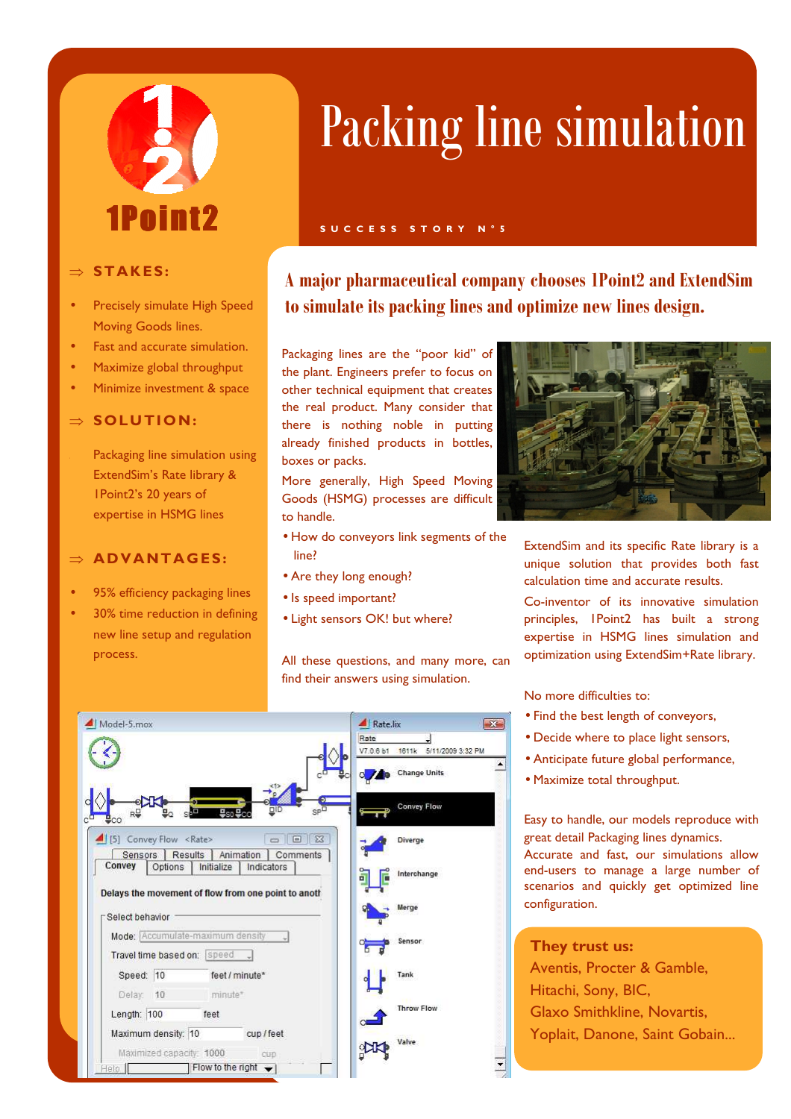# 1Point?

#### ⇒ **STA K ES:**

- Precisely simulate High Speed Moving Goods lines.
- Fast and accurate simulation.
- Maximize global throughput
- Minimize investment & space

#### ⇒ **SOLUTION:**

Packaging line simulation using ExtendSim's Rate library & 1Point2's 20 years of expertise in HSMG lines

#### $\Rightarrow$  **ADVANTAGES:**

- 95% efficiency packaging lines
- 30% time reduction in defining new line setup and regulation process.

## Packing line simulation

#### **S U C C E S S S T O R Y N ° 5**

**A major pharmaceutical company chooses 1Point2 and ExtendSim to simulate its packing lines and optimize new lines design.** 

Packaging lines are the "poor kid" of the plant. Engineers prefer to focus on other technical equipment that creates the real product. Many consider that there is nothing noble in putting already finished products in bottles, boxes or packs.

More generally, High Speed Moving Goods (HSMG) processes are difficult to handle.

- How do conveyors link segments of the line?
- Are they long enough?
- Is speed important?
- Light sensors OK! but where?

All these questions, and many more, can find their answers using simulation.





ExtendSim and its specific Rate library is a unique solution that provides both fast calculation time and accurate results.

Co-inventor of its innovative simulation principles, 1Point2 has built a strong expertise in HSMG lines simulation and optimization using ExtendSim+Rate library.

No more difficulties to:

- Find the best length of conveyors,
- Decide where to place light sensors,
- Anticipate future global performance,
- Maximize total throughput.

Easy to handle, our models reproduce with great detail Packaging lines dynamics. Accurate and fast, our simulations allow end-users to manage a large number of scenarios and quickly get optimized line configuration.

**They trust us:**  Aventis, Procter & Gamble, Hitachi, Sony, BIC, Glaxo Smithkline, Novartis, Yoplait, Danone, Saint Gobain...